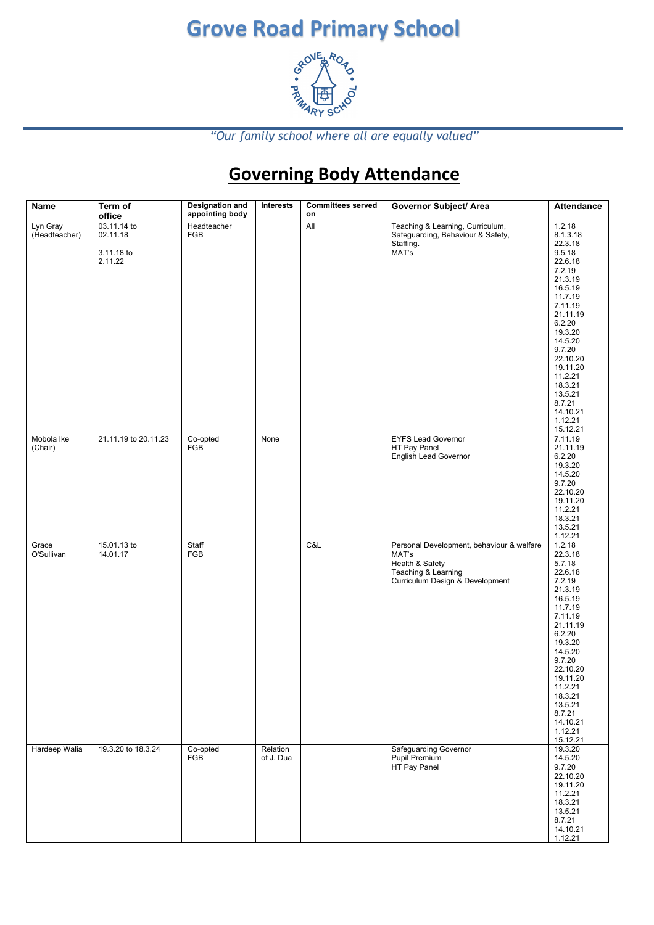### **Grove Road Primary School**



*"Our family school where all are equally valued"*

### **Governing Body Attendance**

| <b>Name</b>               | Term of<br>office                                | <b>Designation and</b><br>appointing body | Interests             | <b>Committees served</b><br>on | <b>Governor Subject/ Area</b>                                                                                                   | <b>Attendance</b>                                                                                                                                                                                                                                                    |
|---------------------------|--------------------------------------------------|-------------------------------------------|-----------------------|--------------------------------|---------------------------------------------------------------------------------------------------------------------------------|----------------------------------------------------------------------------------------------------------------------------------------------------------------------------------------------------------------------------------------------------------------------|
| Lyn Gray<br>(Headteacher) | 03.11.14 to<br>02.11.18<br>3.11.18 to<br>2.11.22 | Headteacher<br><b>FGB</b>                 |                       | All                            | Teaching & Learning, Curriculum,<br>Safeguarding, Behaviour & Safety,<br>Staffing.<br>MAT's                                     | 1.2.18<br>8.1.3.18<br>22.3.18<br>9.5.18<br>22.6.18<br>7.2.19<br>21.3.19<br>16.5.19<br>11.7.19<br>7.11.19<br>21.11.19<br>6.2.20<br>19.3.20<br>14.5.20<br>9.7.20<br>22.10.20<br>19.11.20<br>11.2.21<br>18.3.21<br>13.5.21<br>8.7.21<br>14.10.21<br>1.12.21<br>15.12.21 |
| Mobola Ike<br>(Chair)     | 21.11.19 to 20.11.23                             | Co-opted<br>FGB                           | None                  |                                | <b>EYFS Lead Governor</b><br>HT Pay Panel<br>English Lead Governor                                                              | 7.11.19<br>21.11.19<br>6.2.20<br>19.3.20<br>14.5.20<br>9.7.20<br>22.10.20<br>19.11.20<br>11.2.21<br>18.3.21<br>13.5.21<br>1.12.21                                                                                                                                    |
| Grace<br>O'Sullivan       | 15.01.13 to<br>14.01.17                          | Staff<br>FGB                              |                       | C&L                            | Personal Development, behaviour & welfare<br>MAT's<br>Health & Safety<br>Teaching & Learning<br>Curriculum Design & Development | 1.2.18<br>22.3.18<br>5.7.18<br>22.6.18<br>7.2.19<br>21.3.19<br>16.5.19<br>11.7.19<br>7.11.19<br>21.11.19<br>6.2.20<br>19.3.20<br>14.5.20<br>9.7.20<br>22.10.20<br>19.11.20<br>11.2.21<br>18.3.21<br>13.5.21<br>8.7.21<br>14.10.21<br>1.12.21<br>15.12.21             |
| Hardeep Walia             | 19.3.20 to 18.3.24                               | Co-opted<br>FGB                           | Relation<br>of J. Dua |                                | <b>Safeguarding Governor</b><br>Pupil Premium<br>HT Pay Panel                                                                   | 19.3.20<br>14.5.20<br>9.7.20<br>22.10.20<br>19.11.20<br>11.2.21<br>18.3.21<br>13.5.21<br>8.7.21<br>14.10.21<br>1.12.21                                                                                                                                               |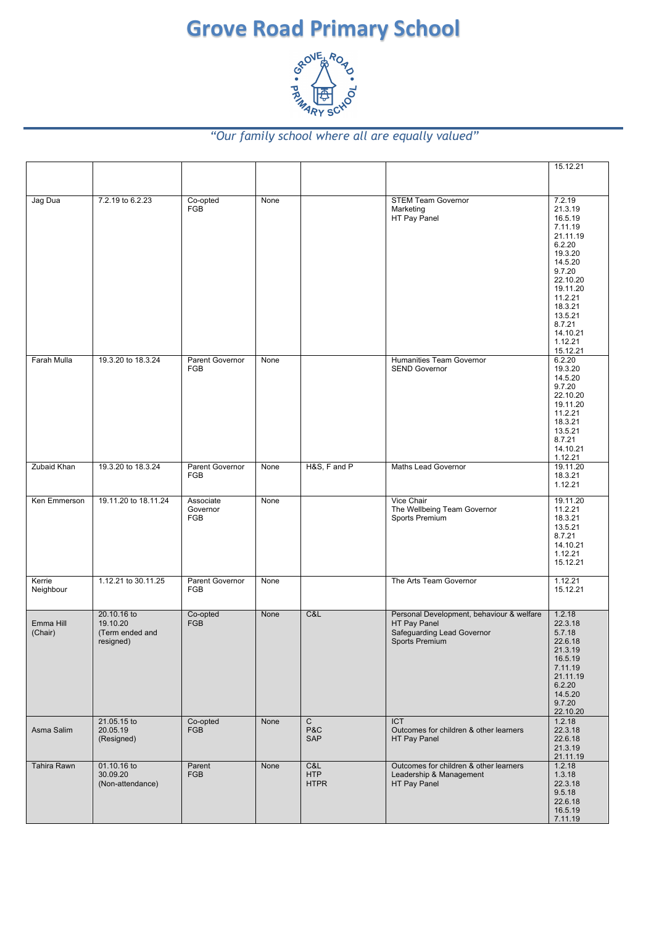# **Grove Road Primary School**<br>  $\begin{array}{r} \circ^{\circ} \circ^{\circ} \circ^{\circ} \circ^{\circ} \circ^{\circ} \circ^{\circ} \circ^{\circ} \circ^{\circ} \circ^{\circ} \circ^{\circ} \circ^{\circ} \circ^{\circ} \circ^{\circ} \circ^{\circ} \circ^{\circ} \circ^{\circ} \circ^{\circ} \circ^{\circ} \circ^{\circ} \circ^{\circ} \circ^{\circ} \circ^{\circ} \circ^{\circ} \circ^{\circ} \circ^{\circ} \circ^{\circ} \circ^{\circ} \circ^{\circ} \circ^{\circ} \circ^{\circ} \circ^{\circ$



#### *"Our family school where all are equally valued"*

|                      |                                                         |                                     |      |                                  |                                                                                                           | 15.12.21                                                                                                                                                                                            |
|----------------------|---------------------------------------------------------|-------------------------------------|------|----------------------------------|-----------------------------------------------------------------------------------------------------------|-----------------------------------------------------------------------------------------------------------------------------------------------------------------------------------------------------|
|                      |                                                         |                                     |      |                                  |                                                                                                           |                                                                                                                                                                                                     |
| Jag Dua              | 7.2.19 to 6.2.23                                        | Co-opted<br><b>FGB</b>              | None |                                  | <b>STEM Team Governor</b><br>Marketing<br>HT Pay Panel                                                    | 7.2.19<br>21.3.19<br>16.5.19<br>7.11.19<br>21.11.19<br>6.2.20<br>19.3.20<br>14.5.20<br>9.7.20<br>22.10.20<br>19.11.20<br>11.2.21<br>18.3.21<br>13.5.21<br>8.7.21<br>14.10.21<br>1.12.21<br>15.12.21 |
| Farah Mulla          | 19.3.20 to 18.3.24                                      | Parent Governor<br><b>FGB</b>       | None |                                  | Humanities Team Governor<br><b>SEND Governor</b>                                                          | 6.2.20<br>19.3.20<br>14.5.20<br>9.7.20<br>22.10.20<br>19.11.20<br>11.2.21<br>18.3.21<br>13.5.21<br>8.7.21<br>14.10.21<br>1.12.21                                                                    |
| <b>Zubaid Khan</b>   | 19.3.20 to 18.3.24                                      | Parent Governor<br><b>FGB</b>       | None | H&S, F and P                     | Maths Lead Governor                                                                                       | 19.11.20<br>18.3.21<br>1.12.21                                                                                                                                                                      |
| Ken Emmerson         | 19.11.20 to 18.11.24                                    | Associate<br>Governor<br><b>FGB</b> | None |                                  | Vice Chair<br>The Wellbeing Team Governor<br>Sports Premium                                               | 19.11.20<br>11.2.21<br>18.3.21<br>13.5.21<br>8.7.21<br>14.10.21<br>1.12.21<br>15.12.21                                                                                                              |
| Kerrie<br>Neighbour  | 1.12.21 to 30.11.25                                     | Parent Governor<br><b>FGB</b>       | None |                                  | The Arts Team Governor                                                                                    | 1.12.21<br>15.12.21                                                                                                                                                                                 |
| Emma Hill<br>(Chair) | 20.10.16 to<br>19.10.20<br>(Term ended and<br>resigned) | Co-opted<br><b>FGB</b>              | None | C&L                              | Personal Development, behaviour & welfare<br>HT Pay Panel<br>Safeguarding Lead Governor<br>Sports Premium | 1.2.18<br>22.3.18<br>5.7.18<br>22.6.18<br>21.3.19<br>16.5.19<br>7.11.19<br>21.11.19<br>6.2.20<br>14.5.20<br>9.7.20<br>22.10.20                                                                      |
| Asma Salim           | 21.05.15 to<br>20.05.19<br>(Resigned)                   | Co-opted<br><b>FGB</b>              | None | C<br>P&C<br>SAP                  | <b>ICT</b><br>Outcomes for children & other learners<br>HT Pay Panel                                      | 1.2.18<br>22.3.18<br>22.6.18<br>21.3.19<br>21.11.19                                                                                                                                                 |
| <b>Tahira Rawn</b>   | 01.10.16 to<br>30.09.20<br>(Non-attendance)             | Parent<br><b>FGB</b>                | None | C&L<br><b>HTP</b><br><b>HTPR</b> | Outcomes for children & other learners<br>Leadership & Management<br>HT Pay Panel                         | 1.2.18<br>1.3.18<br>22.3.18<br>9.5.18<br>22.6.18<br>16.5.19<br>7.11.19                                                                                                                              |